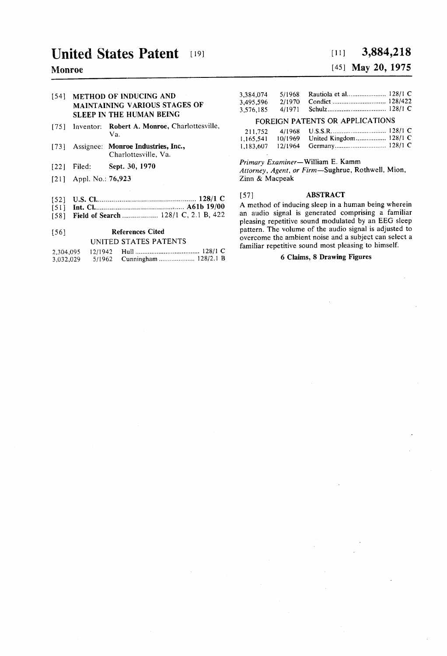# United States Patent (19) (11) 3,884,218

## [54] METHOD OF INDUCING AND MAINTAINING VARIOUS STAGES OF SLEEP IN THE HUMAN BEING

- [75] Inventor: Robert A. Monroe, Charlottesville,
- [73] Assignee: Monroe Industries, Inc., Charlottesville, Va.
- 
- (21) Appl. No. 76,923 Zinn & Macpeak
- 
- 

## 2,304,095 12/1942 Hull 128/l C familiar repetitive sound most pleasing to himself. - - - lil . . . . . . . . . . . . . . . . . . . . . . . . . . . . . . . . . . . . 3,032,029 5/1962 Cunningham ...................... 128/2.1 B

## Monroe (45) May 20, 1975

| OF INDUCING AND<br><b>IING VARIOUS STAGES OF</b><br>THE HUMAN BEING | 3.384,074<br>3.495,596<br>3.576.185 | 2/1970 | FOREIGN PATENTS OR APPLICATIONS |
|---------------------------------------------------------------------|-------------------------------------|--------|---------------------------------|
| Robert A. Monroe, Charlottesville,                                  | 211.752                             |        |                                 |
| Va.                                                                 | 1.165.541                           |        | 10/1969 United Kingdom 128/1 C  |
| Monroe Industries, Inc.,                                            | 1,183,607                           |        |                                 |

Primary Examiner-William E. Kamm Filed: Sept. 30, 1970 **Primary Examiner-William E. Kamm** Filed: Sept. 30, 1970 **Attorney**, Agent, or Firm-Sughrue, Rothwell, Mion,

52 U.S. Cl.................................................. 128/1 C (57) ABSTRACT (5) Int. Cl............................................. A61 b 19/00 A method of inducing sleep in a human being wherein pleasing repetitive sound modulated by an EEG sleep 56) References Cited pattern. The volume of the audio signal is adjusted to UNITED STATES PATENTS<br>
states overcome the ambient noise and a subject can select a<br>
familiar repetitive sound most pleasing to himself.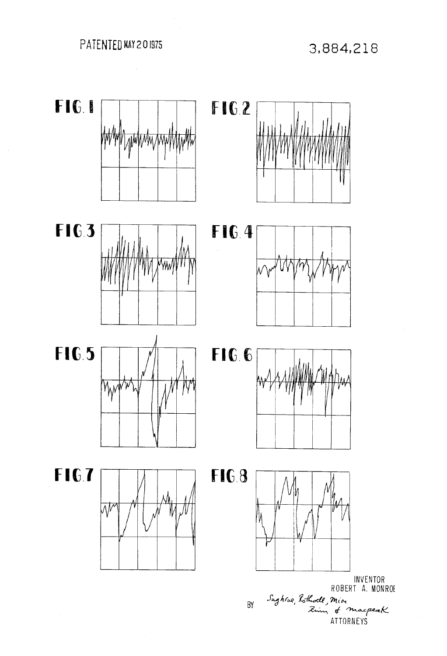# PATENTED MAY 201975 3,884,218

 $\mathcal{L}$ 

 $\ddot{\phantom{0}}$ 



RUBERT A. MUNKI ATTORNEYS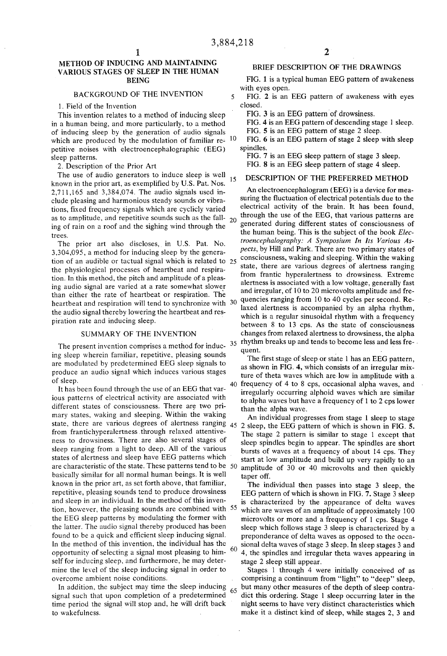## METHOD OF INDUCING AND MANTAINING VARIOUS STAGES OF SLEEP IN THE HUMAN BEING

1

## BACKGROUND OF THE INVENTION

## 1. Field of the Invention

This invention relates to a method of inducing sleep in a human being, and more particularly, to a method of inducing sleep by the generation of audio signals which are produced by the modulation of familiar re petitive noises with electroencephalographic (EEG) sleep patterns.

2. Description of the Prior Art

The use of audio generators to induce sleep is well known in the prior art, as exemplified by U.S. Pat. Nos. 2,711, 165 and 3,384,074. The audio signals used in clude pleasing and harmonious steady sounds or vibra tions, fixed frequency signals which are cyclicly varied as to amplitude, and repetitive sounds such as the fall-  $_{20}$ ing of rain on a roof and the sighing wind through the treeS.

The prior art also discloses, in U.S. Pat. No. 3,304,095, a method for inducing sleep by the genera tion of an audible or tactual signal which is related to 25 the physiological processes of heartbeat and respira tion. In this method, the pitch and amplitude of a pleas ing audio signal are varied at a rate somewhat slower than either the rate of heartbeat or respiration. The heartbeat and respiration will tend to synchronize with 30 the audio signal thereby lowering the heartbeat and res piration rate and inducing sleep.

## SUMMARY OF THE INVENTION

The present invention comprises a method for induc ing sleep wherein familiar, repetitive, pleasing Sounds are modulated by predetermined EEG sleep signals to produce an audio signal which induces various stages of sleep.

It has been found through the use of an EEG that var ious patterns of electrical activity are associated with different states of consciousness. There are two pri mary states, waking and sleeping. Within the waking ness to drowsiness. There are also several stages of sleep ranging from a light to deep. All of the various states of alertness and sleep have EEG patterns which are characteristic of the state. These patterns tend to be 50 basically similar for all normal human beings. It is well repetitive, pleasing sounds tend to produce drowsiness and sleep in an individual. In the method of this inven tion, however, the pleasing sounds are combined with 55 the EEG sleep patterns by modulating the former with the latter. The audio signal thereby produced has been found to be a quick and efficient sleep inducing signal. In the method of this invention, the individual has the opportunity of selecting a signal most pleasing to him self for inducing sleep, and furthermore, he may deter mine the level of the sleep inducing signal in order to overcome ambient noise conditions.

In addition, the subject may time the sleep inducing signal such that upon completion of a predetermined time period the signal will stop and, he will drift back to wakefulness.

## BRIEF DESCRIPTION OF THE DRAWINGS

FIG. 1 is a typical human EEG pattern of awakeness with eyes open.

FIG. 2 is an EEG pattern of awakeness with eyes  $\overline{\mathbf{S}}$ closed.

FIG. 3 is an EEG pattern of drowsiness.

FIG. 4 is an EEG pattern of descending stage 1 sleep.

FIG. 5 is an EEG pattern of stage 2 sleep.

O FIG. 6 is an EEG pattern of stage 2 sleep with sleep spindles.

FIG. 7 is an EEG sleep pattern of stage 3 sleep.

FIG. 8 is an EEG sleep pattern of stage 4 sleep.

### 15 DESCRIPTION OF THE PREFERRED METHOD

35 An electroencephalogram (EEG) is a device for mea suring the fluctuation of electrical potentials due to the electrical activity of the brain. It has been found, through the use of the EEG, that various patterns are generated during different states of consciousness of the human being. This is the subject of the book Elec troencephalography: A Symposium. In Its Various As pects, by Hill and Park. There are two primary states of consciousness, waking and sleeping. Within the waking from frantic hyperalertness to drowsiness. Extreme alertness is associated with a low voltage, generally fast and irregular, of 10 to 20 microvolts amplitude and fre quencies ranging from 10 to 40 cycles per second. Relaxed alertness is accompanied by an alpha rhythm, which is a regular sinusoidal rhythm with a frequency between 8 to 13 cps. As the state of consciousness changes from relaxed alertness to drowsiness, the alpha rhythm breaks up and tends to become less and less frequent.

40 frequency of 4 to 8 cps, occasional alpha waves, and The first stage of sleep or state 1 has an EEG pattern, as shown in FIG. 4, which consists of an irregular mix ture of theta waves which are low in amplitude with a irregularly occurring alphoid waves which are similar to alpha waves but have a frequency of 1 to 2 cps lower than the alpha wave.<br>An individual progresses from stage 1 sleep to stage

state, there are various degrees of alertness ranging 45 2 sleep, the EEG pattern of which is shown in FIG. 5.<br>
from frantichyperalertness through relaxed attentive-<br>
The stage 2 pattern is similar to stage 1 except that 2 sleep, the EEG pattern of which is shown in FIG. 5. The stage 2 pattern is similar to stage 1 except that sleep spindles begin to appear. The spindles are short bursts of waves at a frequency of about 14 cps. They start at low amplitude and build up very rapidly to an amplitude of 30 or 40 microvolts and then quickly taper off.

> 60 The individual then passes into stage 3 sleep, the EEG pattern of which is shown in FIG. 7. Stage 3 sleep is characterized by the appearance of delta waves which are waves of an amplitude of approximately 100 microvolts or more and a frequency of 1 cps. Stage 4 sleep which follows stage 3 sleep is characterized by a preponderance of delta waves as opposed to the occa sional delta waves of stage 3 sleep. In sleep stages 3 and 4, the spindles and irregular theta waves appearing in stage 2 sleep still appear.

> 65 but many other measures of the depth of sleep contra-Stages 1 through 4 were initially conceived of as comprising a continuum from "light" to "deep" sleep, dict this ordering. Stage 1 sleep occurring later in the night seems to have very distinct characteristics which make it a distinct kind of sleep, while stages 2, 3 and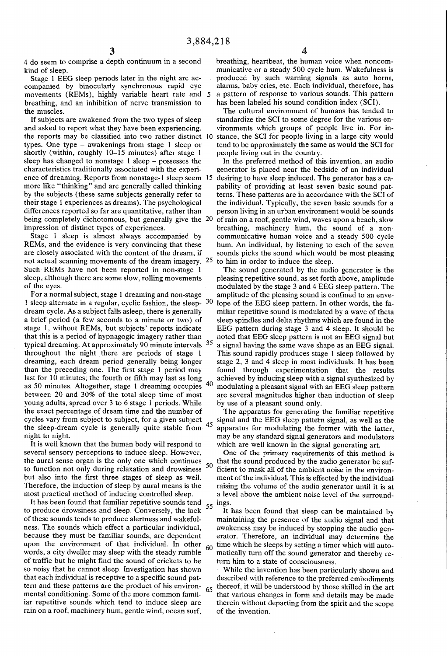4 do seem to comprise a depth continuum in a second

Stage 1 EEG sleep periods later in the night are accompanied by binocularly synchronous rapid eye movements (REMs), highly variable heart rate and breathing, and an inhibition of nerve transmission to the muscles.

If subjects are awakened from the two types of sleep and asked to report what they have been experiencing, the reports may be classified into two rather distinct O types. One type - awakenings from stage 1 sleep or shortly (within, roughly 10-15 minutes) after stage 1 sleep has changed to nonstage  $1$  sleep  $-$  possesses the characteristics traditionally associated with the experi ence of dreaming. Reports from nonstage-1 sleep seem 15 more like "thinking' and are generally called thinking by the subjects (these same subjects generally refer to their stage 1 experiences as dreams). The psychological differences reported so far are quantitative, rather than being completely dichotomous, but generally give the 20 impression of distinct types of experiences.

Stage i sleep is almost always accompanied by REMs, and the evidence is very convincing that these are closely associated with the content of the dream, if Such REMs have not been reported in non-stage 1 sleep, although there are some slow, rolling movements of the eyes. not actual scanning movements of the dream imagery. <sup>25</sup> to him in order to induce the sleep.

For a normal subject, stage 1 dreaming and non-stage dream cycle. As a subject falls asleep, there is generally a brief period (a few seconds to a minute or two) of stage 1, without REMs, but subjects' reports indicate that this is a period of hypnagogic imagery rather than typical dreaming. At approximately 90 minute intervals 35 throughout the night there are periods of stage 1 dreaming, each dream period generally being longer than the preceding one. The first stage 1 period may last for 10 minutes; the fourth or fifth may last as long as 50 minutes. Altogether, stage 1 dreaming occupies between 20 and 30% of the total sleep time of most young adults, spread over 3 to 6 stage 1 periods. While the exact percentage of dream time and the number of cycles vary from subject to subject, for a given subject the sleep-dream cycle is generally quite stable from night to night. 1 sleep alternate in a regular, cyclic fashion, the sleep- 30 40 45

It is well known that the human body will respond to several sensory perceptions to induce sleep. However, the aural sense organ is the only one which continues to function not only during relaxation and drowsiness but also into the first three stages of sleep as well. Therefore, the induction of sleep by aural means is the most practical method of inducing controlled sleep. 50

It has been found that familiar repetitive sounds tend to produce drowsiness and sleep. Conversely, the lack of these sounds tends to produce alertness and wakeful ness. The sounds which effect a particular individual, because they must be familiar sounds, are dependent upon the environment of that individual. In other words, a city dweller may sleep with the steady rumble of traffic but he might find the sound of crickets to be so noisy that he cannot sleep. Investigation has shown that each individual is receptive to a specific sound pat tern and these patterns are the product of his environ mental conditioning. Some of the more common famil iar repetitive sounds which tend to induce sleep are rain on a roof, machinery hun, gentle wind, ocean surf, 55  $60$ 

breathing, heartbeat, the human voice when noncom municative or a steady 500 cycle hum. Wakefulness is produced by such warning signals as auto horns, alarms, baby cries, etc. Each individual, therefore, has a pattern of response to various sounds. This pattern has been labeled his sound condition index (SCI).

The cultural environment of humans has tended to standardize the SCI to some degree for the various en vironments which groups of people live in. For in stance, the SCI for people living in a large city would tend to be approximately the same as would the SCI for people living out in the country.

In the preferred method of this invention, an audio generator is placed near the bedside of an individual desiring to have sleep induced. The generator has a ca pability of providing at least seven basic sound pat terns. These patterns are in accordance with the SCI of the individual. Typically, the seven basic sounds for a person living in an urban environment would be sounds of rain on a roof, gentle wind, waves upon a beach, slow breathing, machinery hum, the sound of a non-<br>communicative human voice and a steady 500 cycle hum. An individual, by listening to each of the seven sounds picks the sound which would be most pleasing

The sound generated by the audio generator is the pleasing repetitive sound, as set forth above, amplitude modulated by the stage 3 and 4 EEG sleep pattern. The amplitude of the pleasing sound is confined to an enve lope of the EEG sleep pattern. In other words, the fa miliar repetitive sound is modulated by a wave of theta sleep spindles and delta rhythms which are found in the EEG pattern during stage 3 and 4 sleep. It should be noted that EEG sleep pattern is not an EEG signal but a signal having the same wave shape as an EEG signal. This sound rapidly produces stage 1 sleep followed by stage 2, 3 and 4 sleep in most individuals. It has been found through experimentation that the results achieved by inducing sleep with a signal synthesized by modulating a pleasant signal with an EEG sleep pattern<br>are several magnitudes higher than induction of sleep

by use of a pleasant sound only.<br>The apparatus for generating the familiar repetitive signal and the EEG sleep pattern signal, as well as the apparatus for modulating the former with the latter, may be any standard signal generators and modulators which are well known in the signal generating art.

One of the primary requirements of this method is that the sound produced by the audio generator be suf ficient to mask all of the ambient noise in the environ ment of the individual. This is effected by the individual raising the volume of the audio generator until it is at a level above the ambient noise level of the surround lings.

It has been found that sleep can be maintained by maintaining the presence of the audio signal and that awakeness may be induced by stopping the audio generator. Therefore, an individual may determine the time which he sleeps by setting a timer which will auto matically turn off the sound generator and thereby re turn him to a state of consciousness.

65 thereof, it will be understood by those skilled in the art While the invention has been particularly shown and described with reference to the preferred embodiments that various changes in form and details may be made therein without departing from the spirit and the scope of the invention.